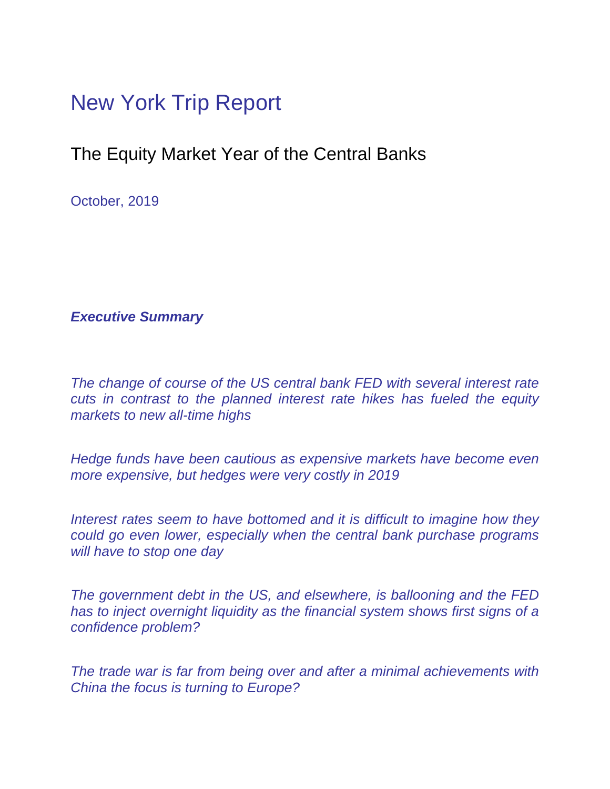## New York Trip Report

## The Equity Market Year of the Central Banks

October, 2019

*Executive Summary* 

*The change of course of the US central bank FED with several interest rate cuts in contrast to the planned interest rate hikes has fueled the equity markets to new all-time highs* 

*Hedge funds have been cautious as expensive markets have become even more expensive, but hedges were very costly in 2019* 

*Interest rates seem to have bottomed and it is difficult to imagine how they could go even lower, especially when the central bank purchase programs will have to stop one day* 

*The government debt in the US, and elsewhere, is ballooning and the FED has to inject overnight liquidity as the financial system shows first signs of a confidence problem?* 

*The trade war is far from being over and after a minimal achievements with China the focus is turning to Europe?*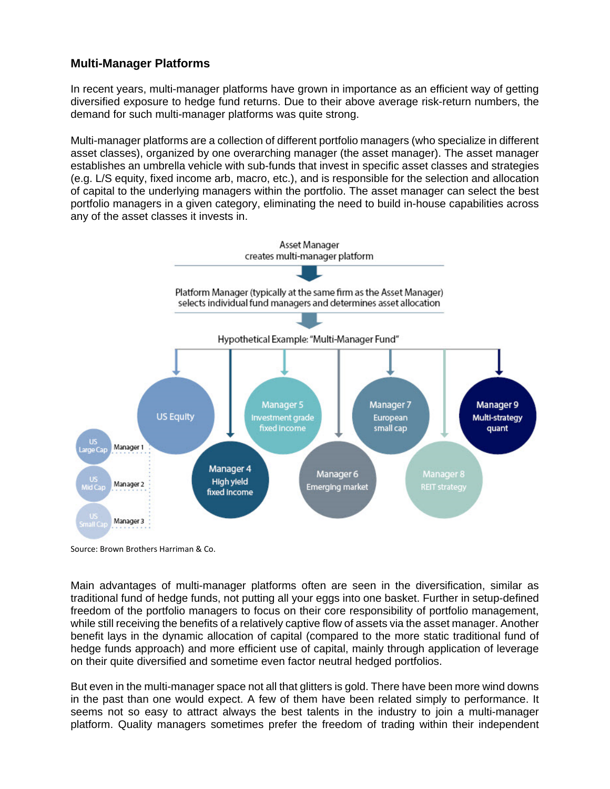## **Multi-Manager Platforms**

In recent years, multi-manager platforms have grown in importance as an efficient way of getting diversified exposure to hedge fund returns. Due to their above average risk-return numbers, the demand for such multi-manager platforms was quite strong.

Multi-manager platforms are a collection of different portfolio managers (who specialize in different asset classes), organized by one overarching manager (the asset manager). The asset manager establishes an umbrella vehicle with sub-funds that invest in specific asset classes and strategies (e.g. L/S equity, fixed income arb, macro, etc.), and is responsible for the selection and allocation of capital to the underlying managers within the portfolio. The asset manager can select the best portfolio managers in a given category, eliminating the need to build in-house capabilities across any of the asset classes it invests in.



Source: Brown Brothers Harriman & Co.

Main advantages of multi-manager platforms often are seen in the diversification, similar as traditional fund of hedge funds, not putting all your eggs into one basket. Further in setup-defined freedom of the portfolio managers to focus on their core responsibility of portfolio management, while still receiving the benefits of a relatively captive flow of assets via the asset manager. Another benefit lays in the dynamic allocation of capital (compared to the more static traditional fund of hedge funds approach) and more efficient use of capital, mainly through application of leverage on their quite diversified and sometime even factor neutral hedged portfolios.

But even in the multi-manager space not all that glitters is gold. There have been more wind downs in the past than one would expect. A few of them have been related simply to performance. It seems not so easy to attract always the best talents in the industry to join a multi-manager platform. Quality managers sometimes prefer the freedom of trading within their independent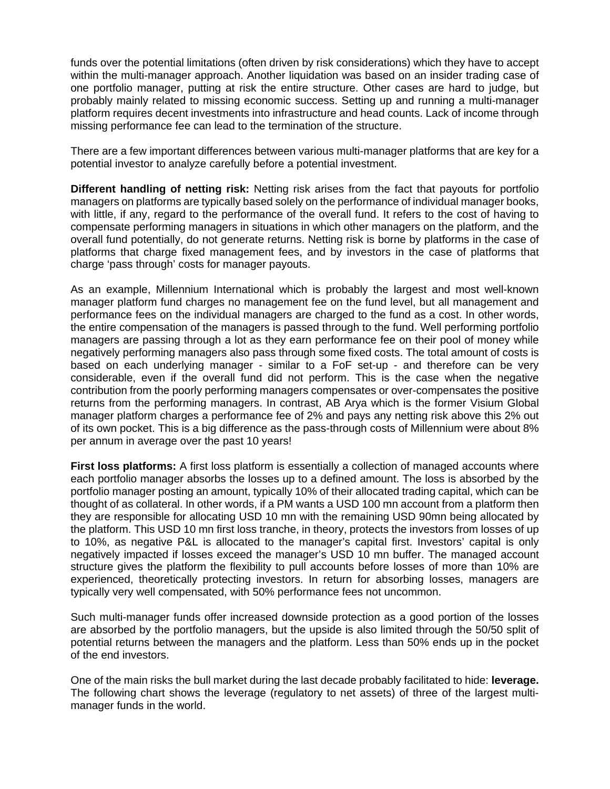funds over the potential limitations (often driven by risk considerations) which they have to accept within the multi-manager approach. Another liquidation was based on an insider trading case of one portfolio manager, putting at risk the entire structure. Other cases are hard to judge, but probably mainly related to missing economic success. Setting up and running a multi-manager platform requires decent investments into infrastructure and head counts. Lack of income through missing performance fee can lead to the termination of the structure.

There are a few important differences between various multi-manager platforms that are key for a potential investor to analyze carefully before a potential investment.

**Different handling of netting risk:** Netting risk arises from the fact that payouts for portfolio managers on platforms are typically based solely on the performance of individual manager books, with little, if any, regard to the performance of the overall fund. It refers to the cost of having to compensate performing managers in situations in which other managers on the platform, and the overall fund potentially, do not generate returns. Netting risk is borne by platforms in the case of platforms that charge fixed management fees, and by investors in the case of platforms that charge 'pass through' costs for manager payouts.

As an example, Millennium International which is probably the largest and most well-known manager platform fund charges no management fee on the fund level, but all management and performance fees on the individual managers are charged to the fund as a cost. In other words, the entire compensation of the managers is passed through to the fund. Well performing portfolio managers are passing through a lot as they earn performance fee on their pool of money while negatively performing managers also pass through some fixed costs. The total amount of costs is based on each underlying manager - similar to a FoF set-up - and therefore can be very considerable, even if the overall fund did not perform. This is the case when the negative contribution from the poorly performing managers compensates or over-compensates the positive returns from the performing managers. In contrast, AB Arya which is the former Visium Global manager platform charges a performance fee of 2% and pays any netting risk above this 2% out of its own pocket. This is a big difference as the pass-through costs of Millennium were about 8% per annum in average over the past 10 years!

**First loss platforms:** A first loss platform is essentially a collection of managed accounts where each portfolio manager absorbs the losses up to a defined amount. The loss is absorbed by the portfolio manager posting an amount, typically 10% of their allocated trading capital, which can be thought of as collateral. In other words, if a PM wants a USD 100 mn account from a platform then they are responsible for allocating USD 10 mn with the remaining USD 90mn being allocated by the platform. This USD 10 mn first loss tranche, in theory, protects the investors from losses of up to 10%, as negative P&L is allocated to the manager's capital first. Investors' capital is only negatively impacted if losses exceed the manager's USD 10 mn buffer. The managed account structure gives the platform the flexibility to pull accounts before losses of more than 10% are experienced, theoretically protecting investors. In return for absorbing losses, managers are typically very well compensated, with 50% performance fees not uncommon.

Such multi-manager funds offer increased downside protection as a good portion of the losses are absorbed by the portfolio managers, but the upside is also limited through the 50/50 split of potential returns between the managers and the platform. Less than 50% ends up in the pocket of the end investors.

One of the main risks the bull market during the last decade probably facilitated to hide: **leverage.** The following chart shows the leverage (regulatory to net assets) of three of the largest multimanager funds in the world.